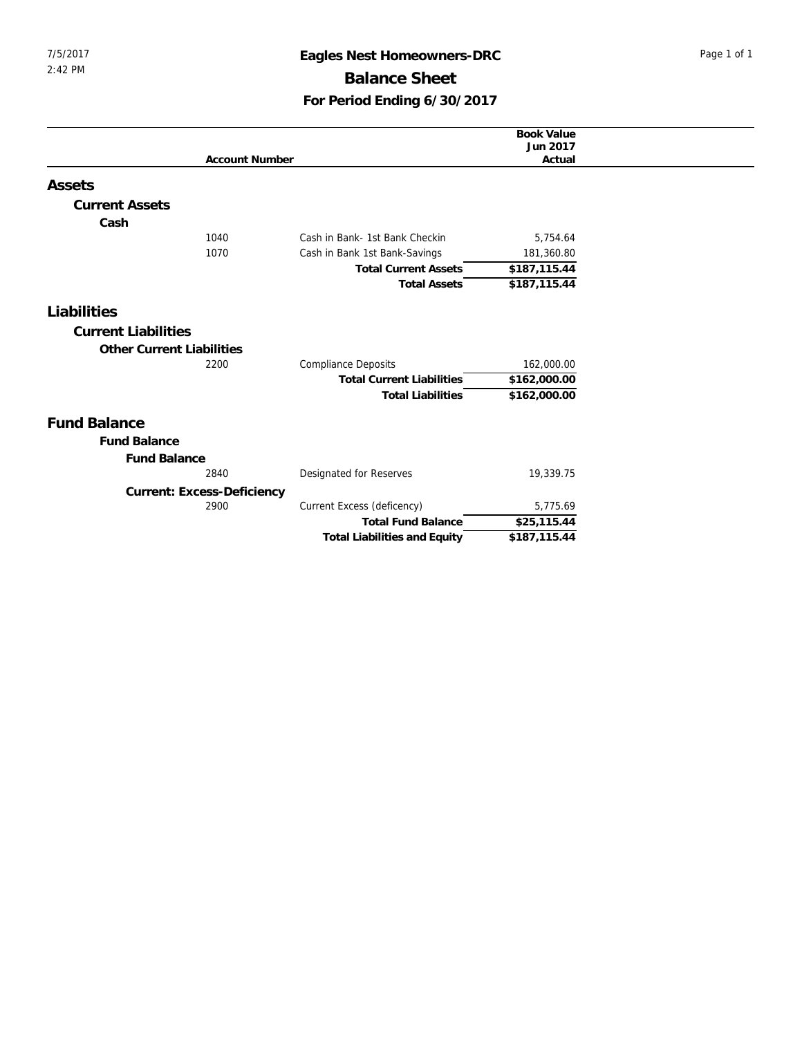## 7/5/2017 **Eagles Nest Homeowners-DRC** Page 1 of 1 **Balance Sheet For Period Ending 6/30/2017**

|                                  |                                     | <b>Book Value</b><br>Jun 2017 |
|----------------------------------|-------------------------------------|-------------------------------|
| <b>Account Number</b>            |                                     | Actual                        |
|                                  |                                     |                               |
| Assets                           |                                     |                               |
| <b>Current Assets</b>            |                                     |                               |
| Cash                             |                                     |                               |
| 1040                             | Cash in Bank- 1st Bank Checkin      | 5,754.64                      |
| 1070                             | Cash in Bank 1st Bank-Savings       | 181,360.80                    |
|                                  | <b>Total Current Assets</b>         | \$187,115.44                  |
|                                  | <b>Total Assets</b>                 | \$187,115.44                  |
| Liabilities                      |                                     |                               |
|                                  |                                     |                               |
| <b>Current Liabilities</b>       |                                     |                               |
| <b>Other Current Liabilities</b> |                                     |                               |
| 2200                             | <b>Compliance Deposits</b>          | 162,000.00                    |
|                                  | <b>Total Current Liabilities</b>    | \$162,000.00                  |
|                                  | <b>Total Liabilities</b>            | \$162,000.00                  |
| <b>Fund Balance</b>              |                                     |                               |
| <b>Fund Balance</b>              |                                     |                               |
|                                  |                                     |                               |
| <b>Fund Balance</b><br>2840      |                                     |                               |
|                                  | Designated for Reserves             | 19,339.75                     |
| Current: Excess-Deficiency       |                                     |                               |
| 2900                             | Current Excess (deficency)          | 5,775.69                      |
|                                  | <b>Total Fund Balance</b>           | \$25,115.44                   |
|                                  | <b>Total Liabilities and Equity</b> | \$187,115.44                  |